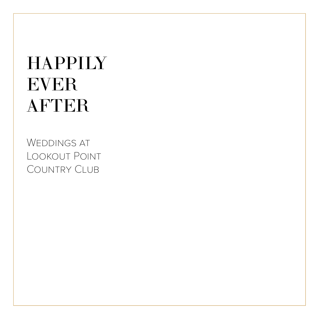## **HAPPILY** EVER AFTER

WEDDINGS AT Lookout Point Country Club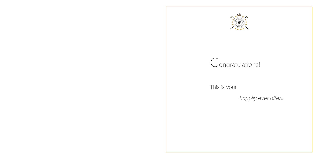



This is your

happily ever after...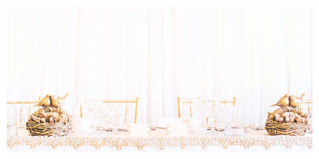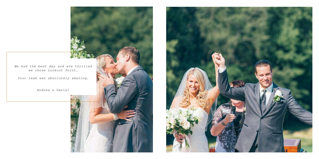*We had the best day and are thrilled we chose Lookout Point.* 

*Your team was absolutely amazing.* 

Andrea & Daniel

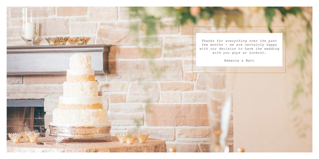

*Thanks for everything over the past few months - we are certainly happy with our decision to have the wedding with you guys at Lookout.* 

Rebecca & Matt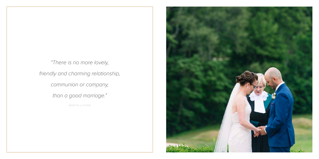"There is no more lovely,

friendly and charming relationship,

communion or company,

than a good marriage."

MARTIN LUTHER

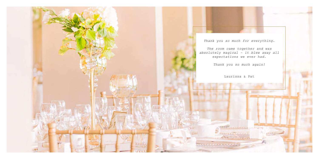

*Thank you so much for everything.* 

*The room came together and was absolutely magical – it blew away all expectations we ever had.* 

*Thank you so much again!* 

Laurissa & Pat

**REELH COOPERAGE** 

**PARTICIPATION IN A SU** 

**TANTAL SOURCE**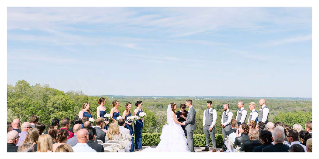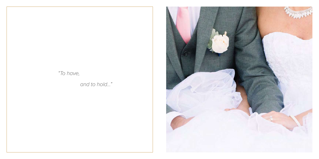## "To have,

and to hold..."

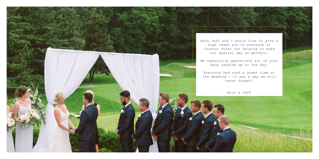

*Both Jeff and I would like to give a huge thank you to everyone at Lookout Point for helping to make our special day so perfect.* 

*We especially appreciate all of your help leading up to the day.* 

*Everyone had such a great time at the wedding - it was a day we will never forget!* 

Erin & Jeff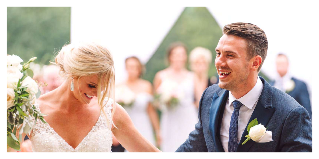